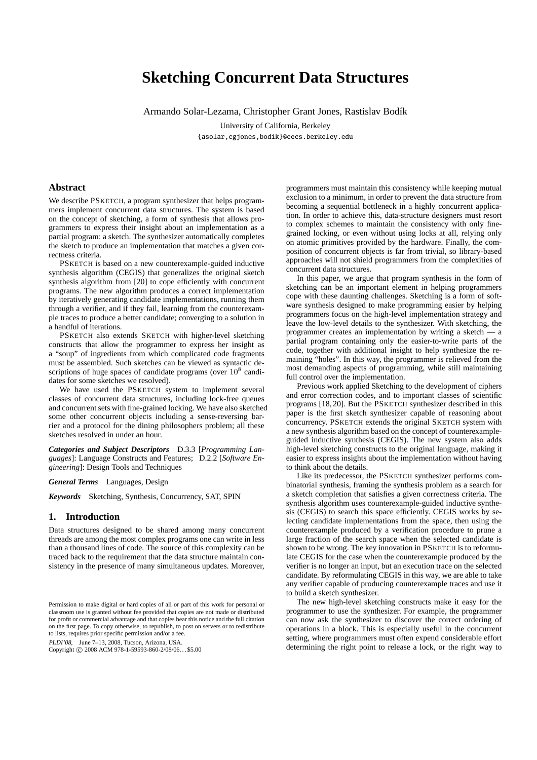# **Sketching Concurrent Data Structures**

Armando Solar-Lezama, Christopher Grant Jones, Rastislav Bodík

University of California, Berkeley {asolar,cgjones,bodik}@eecs.berkeley.edu

## **Abstract**

We describe PSKETCH, a program synthesizer that helps programmers implement concurrent data structures. The system is based on the concept of sketching, a form of synthesis that allows programmers to express their insight about an implementation as a partial program: a sketch. The synthesizer automatically completes the sketch to produce an implementation that matches a given correctness criteria.

PSKETCH is based on a new counterexample-guided inductive synthesis algorithm (CEGIS) that generalizes the original sketch synthesis algorithm from [20] to cope efficiently with concurrent programs. The new algorithm produces a correct implementation by iteratively generating candidate implementations, running them through a verifier, and if they fail, learning from the counterexample traces to produce a better candidate; converging to a solution in a handful of iterations.

PSKETCH also extends SKETCH with higher-level sketching constructs that allow the programmer to express her insight as a "soup" of ingredients from which complicated code fragments must be assembled. Such sketches can be viewed as syntactic descriptions of huge spaces of candidate programs (over  $10^8$  candidates for some sketches we resolved).

We have used the PSKETCH system to implement several classes of concurrent data structures, including lock-free queues and concurrent sets with fine-grained locking. We have also sketched some other concurrent objects including a sense-reversing barrier and a protocol for the dining philosophers problem; all these sketches resolved in under an hour.

*Categories and Subject Descriptors* D.3.3 [*Programming Languages*]: Language Constructs and Features; D.2.2 [*Software Engineering*]: Design Tools and Techniques

*General Terms* Languages, Design

*Keywords* Sketching, Synthesis, Concurrency, SAT, SPIN

## **1. Introduction**

Data structures designed to be shared among many concurrent threads are among the most complex programs one can write in less than a thousand lines of code. The source of this complexity can be traced back to the requirement that the data structure maintain consistency in the presence of many simultaneous updates. Moreover,

PLDI'08, June 7–13, 2008, Tucson, Arizona, USA.

Copyright © 2008 ACM 978-1-59593-860-2/08/06... \$5.00

programmers must maintain this consistency while keeping mutual exclusion to a minimum, in order to prevent the data structure from becoming a sequential bottleneck in a highly concurrent application. In order to achieve this, data-structure designers must resort to complex schemes to maintain the consistency with only finegrained locking, or even without using locks at all, relying only on atomic primitives provided by the hardware. Finally, the composition of concurrent objects is far from trivial, so library-based approaches will not shield programmers from the complexities of concurrent data structures.

In this paper, we argue that program synthesis in the form of sketching can be an important element in helping programmers cope with these daunting challenges. Sketching is a form of software synthesis designed to make programming easier by helping programmers focus on the high-level implementation strategy and leave the low-level details to the synthesizer. With sketching, the programmer creates an implementation by writing a sketch — a partial program containing only the easier-to-write parts of the code, together with additional insight to help synthesize the remaining "holes". In this way, the programmer is relieved from the most demanding aspects of programming, while still maintaining full control over the implementation.

Previous work applied Sketching to the development of ciphers and error correction codes, and to important classes of scientific programs [18, 20]. But the PSKETCH synthesizer described in this paper is the first sketch synthesizer capable of reasoning about concurrency. PSKETCH extends the original SKETCH system with a new synthesis algorithm based on the concept of counterexampleguided inductive synthesis (CEGIS). The new system also adds high-level sketching constructs to the original language, making it easier to express insights about the implementation without having to think about the details.

Like its predecessor, the PSKETCH synthesizer performs combinatorial synthesis, framing the synthesis problem as a search for a sketch completion that satisfies a given correctness criteria. The synthesis algorithm uses counterexample-guided inductive synthesis (CEGIS) to search this space efficiently. CEGIS works by selecting candidate implementations from the space, then using the counterexample produced by a verification procedure to prune a large fraction of the search space when the selected candidate is shown to be wrong. The key innovation in PSKETCH is to reformulate CEGIS for the case when the counterexample produced by the verifier is no longer an input, but an execution trace on the selected candidate. By reformulating CEGIS in this way, we are able to take any verifier capable of producing counterexample traces and use it to build a sketch synthesizer.

The new high-level sketching constructs make it easy for the programmer to use the synthesizer. For example, the programmer can now ask the synthesizer to discover the correct ordering of operations in a block. This is especially useful in the concurrent setting, where programmers must often expend considerable effort determining the right point to release a lock, or the right way to

Permission to make digital or hard copies of all or part of this work for personal or classroom use is granted without fee provided that copies are not made or distributed for profit or commercial advantage and that copies bear this notice and the full citation on the first page. To copy otherwise, to republish, to post on servers or to redistribute to lists, requires prior specific permission and/or a fee.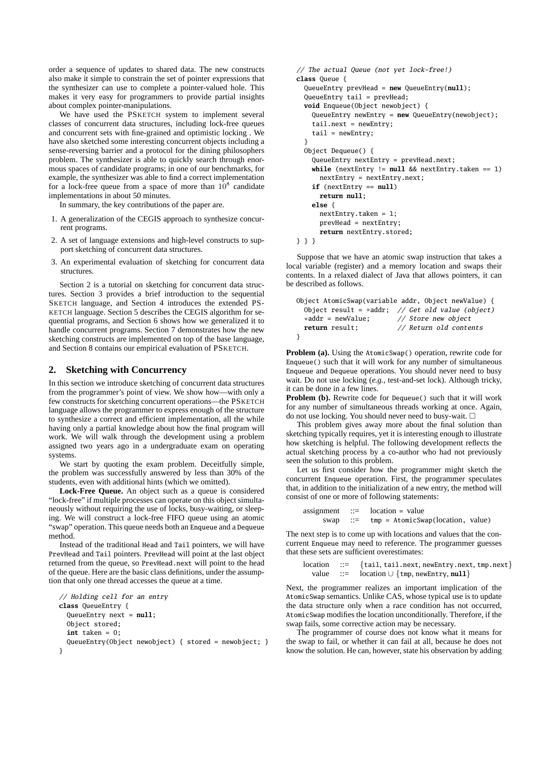order a sequence of updates to shared data. The new constructs also make it simple to constrain the set of pointer expressions that the synthesizer can use to complete a pointer-valued hole. This makes it very easy for programmers to provide partial insights about complex pointer-manipulations.

We have used the PSKETCH system to implement several classes of concurrent data structures, including lock-free queues and concurrent sets with fine-grained and optimistic locking . We have also sketched some interesting concurrent objects including a sense-reversing barrier and a protocol for the dining philosophers problem. The synthesizer is able to quickly search through enormous spaces of candidate programs; in one of our benchmarks, for example, the synthesizer was able to find a correct implementation for a lock-free queue from a space of more than  $10^8$  candidate implementations in about 50 minutes.

In summary, the key contributions of the paper are.

- 1. A generalization of the CEGIS approach to synthesize concurrent programs.
- 2. A set of language extensions and high-level constructs to support sketching of concurrent data structures.
- 3. An experimental evaluation of sketching for concurrent data structures.

Section 2 is a tutorial on sketching for concurrent data structures. Section 3 provides a brief introduction to the sequential SKETCH language, and Section 4 introduces the extended PS-KETCH language. Section 5 describes the CEGIS algorithm for sequential programs, and Section 6 shows how we generalized it to handle concurrent programs. Section 7 demonstrates how the new sketching constructs are implemented on top of the base language, and Section 8 contains our empirical evaluation of PSKETCH.

## **2. Sketching with Concurrency**

In this section we introduce sketching of concurrent data structures from the programmer's point of view. We show how—with only a few constructs for sketching concurrent operations—the PSKETCH language allows the programmer to express enough of the structure to synthesize a correct and efficient implementation, all the while having only a partial knowledge about how the final program will work. We will walk through the development using a problem assigned two years ago in a undergraduate exam on operating systems.

We start by quoting the exam problem. Deceitfully simple, the problem was successfully answered by less than 30% of the students, even with additional hints (which we omitted).

**Lock-Free Queue.** An object such as a queue is considered "lock-free" if multiple processes can operate on this object simultaneously without requiring the use of locks, busy-waiting, or sleeping. We will construct a lock-free FIFO queue using an atomic "swap" operation. This queue needs both an Enqueue and a Dequeue method.

Instead of the traditional Head and Tail pointers, we will have PrevHead and Tail pointers. PrevHead will point at the last object returned from the queue, so PrevHead.next will point to the head of the queue. Here are the basic class definitions, under the assumption that only one thread accesses the queue at a time.

```
// Holding cell for an entry
class QueueEntry {
  QueueEntry next = null;
  Object stored;
  int taken = 0;
  QueueEntry(Object newobject) { stored = newobject; }
}
```

```
// The actual Queue (not yet lock-free!)
class Queue {
  QueueEntry prevHead = new QueueEntry(null);
  0ueueEntry tail = prevHead;
  void Enqueue(Object newobject) {
    QueueEntry newEntry = new QueueEntry(newobject);
    tail.next = newEntry;
    tail = newEntry;
  }
  Object Dequeue() {
    QueueEntry nextEntry = prevHead.next;
    while (nextEntry != null && nextEntry.taken == 1)
      nextEntry = nextEntry.next;
    if (nextEntry == null)
      return null;
    else {
      nextEntry.taken = 1;
      prevHead = nextEntry;
      return nextEntry.stored;
} } }
```
Suppose that we have an atomic swap instruction that takes a local variable (register) and a memory location and swaps their contents. In a relaxed dialect of Java that allows pointers, it can be described as follows.

```
Object AtomicSwap(variable addr, Object newValue) {
  Object result = *addr; // Get old value (object) *addr = newValue: // Store new object
                              // Store new object
  return result; // Return old contents
}
```
**Problem (a).** Using the AtomicSwap() operation, rewrite code for Enqueue() such that it will work for any number of simultaneous Enqueue and Dequeue operations. You should never need to busy wait. Do not use locking (*e.g.*, test-and-set lock). Although tricky, it can be done in a few lines.

**Problem (b).** Rewrite code for Dequeue() such that it will work for any number of simultaneous threads working at once. Again, do not use locking. You should never need to busy-wait.  $\square$ 

This problem gives away more about the final solution than sketching typically requires, yet it is interesting enough to illustrate how sketching is helpful. The following development reflects the actual sketching process by a co-author who had not previously seen the solution to this problem.

Let us first consider how the programmer might sketch the concurrent Enqueue operation. First, the programmer speculates that, in addition to the initialization of a new entry, the method will consist of one or more of following statements:

```
assignment ::= location = value
     swap ::= tmp = AtomicSwap(location, value)
```
The next step is to come up with locations and values that the concurrent Enqueue may need to reference. The programmer guesses that these sets are sufficient overestimates:

```
location ::= {tail, tail.next, newEntry.next, tmp.next}
  value ::= location ∪ {tmp, newEntry, null}
```
Next, the programmer realizes an important implication of the AtomicSwap semantics. Unlike CAS, whose typical use is to update the data structure only when a race condition has not occurred, AtomicSwap modifies the location unconditionally. Therefore, if the swap fails, some corrective action may be necessary.

The programmer of course does not know what it means for the swap to fail, or whether it can fail at all, because he does not know the solution. He can, however, state his observation by adding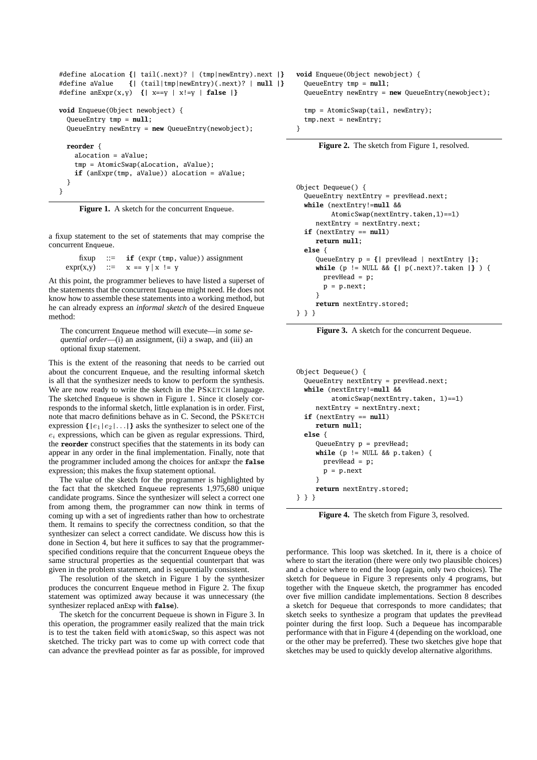```
#define aLocation {| tail(.next)? | (tmp|newEntry).next |}
#define aValue {| (tail|tmp|newEntry)(.next)? | null |}
#define anExpr(x,y) {| x==y | x!=y | false |}
void Enqueue(Object newobject) {
 QueueEntry tmp = null;
 QueueEntry newEntry = new QueueEntry(newobject);
 reorder {
   aLocation = aValue;
    tmp = AtomicSwap(aLocation, aValue);
   if (anExpr(tmp, aValue)) aLocation = aValue;
 }
}
```
Figure 1. A sketch for the concurrent Enqueue.

a fixup statement to the set of statements that may comprise the concurrent Enqueue.

```
fixup \therefore if (expr (tmp, value)) assignment
\exp(x,y) ::= x == y | x != y
```
At this point, the programmer believes to have listed a superset of the statements that the concurrent Enqueue might need. He does not know how to assemble these statements into a working method, but he can already express an *informal sketch* of the desired Enqueue method:

The concurrent Enqueue method will execute—in *some sequential order*—(i) an assignment, (ii) a swap, and (iii) an optional fixup statement.

This is the extent of the reasoning that needs to be carried out about the concurrent Enqueue, and the resulting informal sketch is all that the synthesizer needs to know to perform the synthesis. We are now ready to write the sketch in the PSKETCH language. The sketched Enqueue is shown in Figure 1. Since it closely corresponds to the informal sketch, little explanation is in order. First, note that macro definitions behave as in C. Second, the PSKETCH expression  $\{ |e_1|e_2| \dots | \}$  asks the synthesizer to select one of the  $e_i$  expressions, which can be given as regular expressions. Third, the **reorder** construct specifies that the statements in its body can appear in any order in the final implementation. Finally, note that the programmer included among the choices for anExpr the **false** expression; this makes the fixup statement optional.

The value of the sketch for the programmer is highlighted by the fact that the sketched Enqueue represents 1,975,680 unique candidate programs. Since the synthesizer will select a correct one from among them, the programmer can now think in terms of coming up with a set of ingredients rather than how to orchestrate them. It remains to specify the correctness condition, so that the synthesizer can select a correct candidate. We discuss how this is done in Section 4, but here it suffices to say that the programmerspecified conditions require that the concurrent Enqueue obeys the same structural properties as the sequential counterpart that was given in the problem statement, and is sequentially consistent.

The resolution of the sketch in Figure 1 by the synthesizer produces the concurrent Enqueue method in Figure 2. The fixup statement was optimized away because it was unnecessary (the synthesizer replaced anExp with **false**).

The sketch for the concurrent Dequeue is shown in Figure 3. In this operation, the programmer easily realized that the main trick is to test the taken field with atomicSwap, so this aspect was not sketched. The tricky part was to come up with correct code that can advance the prevHead pointer as far as possible, for improved

```
void Enqueue(Object newobject) {
  QueueEntry tmp = null;
  QueueEntry newEntry = new QueueEntry(newobject);
  tmp = AtomicSwap(tail, newEntry);
  tmp.next = newEntry;
```


**Figure 2.** The sketch from Figure 1, resolved.

```
Object Dequeue() {
  QueueEntry nextEntry = prevHead.next;
  while (nextEntry!=null &&
         AtomicSwap(nextEntry.taken,1)==1)
     nextEntry = nextEntry.next;
  if (nextEntry == null)
    return null;
  else {
     QueueEntry p = {| prevHead | nextEntry |};
     while (p != NULL && {| p(.next)?.taken |} ) {
       prevHead = p;
       p = p.next;}
     return nextEntry.stored;
} } }
```
Figure 3. A sketch for the concurrent Dequeue.

```
Object Dequeue() {
  QueueEntry nextEntry = prevHead.next;
  while (nextEntry!=null &&
         atomicSwap(nextEntry.taken, 1)==1)
     nextEntry = nextEntry.next;
  if (nextEntry == null)
     return null;
  else {
     QueueEntry p = prevHead;
     while (p != NULL && p.taken) {
       prevHead = p;
       p = p.next}
     return nextEntry.stored;
} } }
```
**Figure 4.** The sketch from Figure 3, resolved.

performance. This loop was sketched. In it, there is a choice of where to start the iteration (there were only two plausible choices) and a choice where to end the loop (again, only two choices). The sketch for Dequeue in Figure 3 represents only 4 programs, but together with the Enqueue sketch, the programmer has encoded over five million candidate implementations. Section 8 describes a sketch for Dequeue that corresponds to more candidates; that sketch seeks to synthesize a program that updates the prevHead pointer during the first loop. Such a Dequeue has incomparable performance with that in Figure 4 (depending on the workload, one or the other may be preferred). These two sketches give hope that sketches may be used to quickly develop alternative algorithms.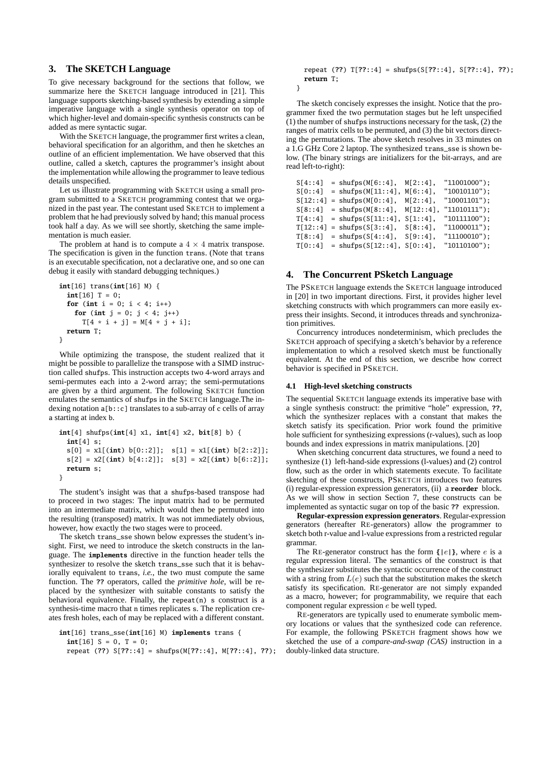# **3. The SKETCH Language**

To give necessary background for the sections that follow, we summarize here the SKETCH language introduced in [21]. This language supports sketching-based synthesis by extending a simple imperative language with a single synthesis operator on top of which higher-level and domain-specific synthesis constructs can be added as mere syntactic sugar.

With the SKETCH language, the programmer first writes a clean, behavioral specification for an algorithm, and then he sketches an outline of an efficient implementation. We have observed that this outline, called a sketch, captures the programmer's insight about the implementation while allowing the programmer to leave tedious details unspecified.

Let us illustrate programming with SKETCH using a small program submitted to a SKETCH programming contest that we organized in the past year. The contestant used SKETCH to implement a problem that he had previously solved by hand; this manual process took half a day. As we will see shortly, sketching the same implementation is much easier.

The problem at hand is to compute a  $4 \times 4$  matrix transpose. The specification is given in the function trans. (Note that trans is an executable specification, not a declarative one, and so one can debug it easily with standard debugging techniques.)

```
int[16] trans(int[16] M) {
 int[16] T = 0;
 for (int i = 0; i < 4; i++)for (int j = 0; j < 4; j++)T[4 * i + j] = M[4 * j + i];return T;
}
```
While optimizing the transpose, the student realized that it might be possible to parallelize the transpose with a SIMD instruction called shufps. This instruction accepts two 4-word arrays and semi-permutes each into a 2-word array; the semi-permutations are given by a third argument. The following SKETCH function emulates the semantics of shufps in the SKETCH language.The indexing notation a[b::c] translates to a sub-array of c cells of array a starting at index b.

```
int[4] shufps(int[4] x1, int[4] x2, bit[8] b) {
 int[4] s;
 s[0] = x1[(int) b[0::2]]; s[1] = x1[(int) b[2::2]];
 s[2] = x2[(int) b[4::2]]; s[3] = x2[(int) b[6::2]];
 return s;
}
```
The student's insight was that a shufps-based transpose had to proceed in two stages: The input matrix had to be permuted into an intermediate matrix, which would then be permuted into the resulting (transposed) matrix. It was not immediately obvious, however, how exactly the two stages were to proceed.

The sketch trans\_sse shown below expresses the student's insight. First, we need to introduce the sketch constructs in the language. The **implements** directive in the function header tells the synthesizer to resolve the sketch trans\_sse such that it is behaviorally equivalent to trans, *i.e.*, the two must compute the same function. The **??** operators, called the *primitive hole*, will be replaced by the synthesizer with suitable constants to satisfy the behavioral equivalence. Finally, the repeat $(n)$  s construct is a synthesis-time macro that n times replicates s. The replication creates fresh holes, each of may be replaced with a different constant.

```
int[16] trans_sse(int[16] M) implements trans {
 int[16] S = 0, T = 0;
 repeat (??) S[??::4] = shufps(M[??::4], M[??::4], ??);
```
repeat (**??**) T[**??**::4] = shufps(S[**??**::4], S[**??**::4], **??**); **return** T;

The sketch concisely expresses the insight. Notice that the programmer fixed the two permutation stages but he left unspecified (1) the number of shufps instructions necessary for the task, (2) the ranges of matrix cells to be permuted, and (3) the bit vectors directing the permutations. The above sketch resolves in 33 minutes on a 1.G GHz Core 2 laptop. The synthesized trans\_sse is shown below. (The binary strings are initializers for the bit-arrays, and are read left-to-right):

}

```
S[4::4] = shufps(M[6::4], M[2::4], "11001000");<br>S[0::4] = shufps(M[11::4], M[6::4], "10010110");
S[0::4] = shufps(M[11::4], M[6::4],
S[12::4] =shufps(M[0::4], M[2::4], "10001101");
S[8::4] =shufps(M[8::4], M[12::4], "11010111");
T[4::4] =shufps(S[11::4], S[1::4], "10111100");
T[12::4] = shufps(S[3::4], S[8::4], "11000011");
T[8::4] = shufps(S[4::4], S[9::4], "11100010");
T[0::4] = shufps(S[12::4], S[0::4], "10110100");
```
# **4. The Concurrent PSketch Language**

The PSKETCH language extends the SKETCH language introduced in [20] in two important directions. First, it provides higher level sketching constructs with which programmers can more easily express their insights. Second, it introduces threads and synchronization primitives.

Concurrency introduces nondeterminism, which precludes the SKETCH approach of specifying a sketch's behavior by a reference implementation to which a resolved sketch must be functionally equivalent. At the end of this section, we describe how correct behavior is specified in PSKETCH.

#### **4.1 High-level sketching constructs**

The sequential SKETCH language extends its imperative base with a single synthesis construct: the primitive "hole" expression, **??**, which the synthesizer replaces with a constant that makes the sketch satisfy its specification. Prior work found the primitive hole sufficient for synthesizing expressions (r-values), such as loop bounds and index expressions in matrix manipulations. [20]

When sketching concurrent data structures, we found a need to synthesize (1) left-hand-side expressions (l-values) and (2) control flow, such as the order in which statements execute. To facilitate sketching of these constructs, PSKETCH introduces two features (i) regular-expression expression generators, (ii) a **reorder** block. As we will show in section Section 7, these constructs can be implemented as syntactic sugar on top of the basic **??** expression.

**Regular-expression expression generators**. Regular-expression generators (hereafter RE-generators) allow the programmer to sketch both r-value and l-value expressions from a restricted regular grammar.

The RE-generator construct has the form  $\{ |e| \}$ , where e is a regular expression literal. The semantics of the construct is that the synthesizer substitutes the syntactic occurrence of the construct with a string from  $L(e)$  such that the substitution makes the sketch satisfy its specification. RE-generator are not simply expanded as a macro, however; for programmability, we require that each component regular expression e be well typed.

RE-generators are typically used to enumerate symbolic memory locations or values that the synthesized code can reference. For example, the following PSKETCH fragment shows how we sketched the use of a *compare-and-swap (CAS)* instruction in a doubly-linked data structure.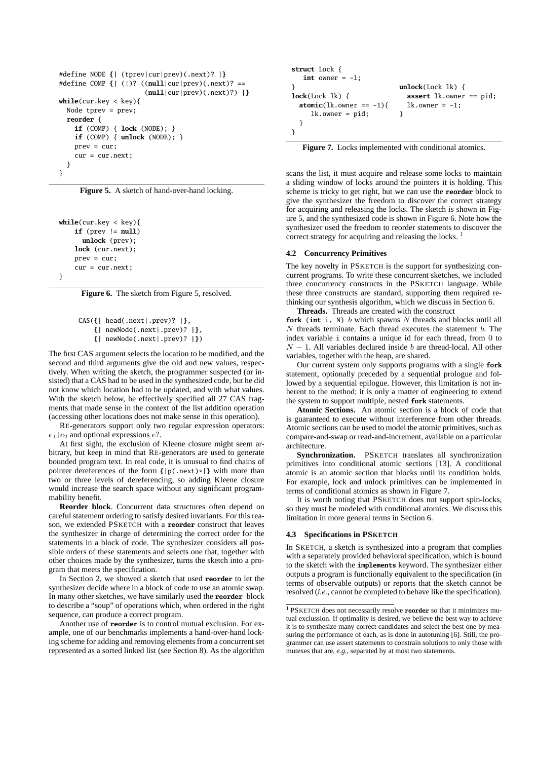```
#define NODE {| (tprev|cur|prev)(.next)? |}
#define COMP {| (!)? ((null|cur|prev)(.next)? ==
                       (null|cur|prev)(.next)?) |}
while(cur.key < key){
  Node tprev = prev;
  reorder {
    if (COMP) { lock (NODE); }
   if (COMP) { unlock (NODE); }
    prev = cur;
    cur = cur.next:
  }
}
```
**Figure 5.** A sketch of hand-over-hand locking.

```
while(cur.key < key){
   if (prev != null)
     unlock (prev);
   lock (cur.next);
   prev = cur;
   cur = cur.next;
```
}

**Figure 6.** The sketch from Figure 5, resolved.

```
CAS({| head(.next|.prev)? |},
   {| newNode(.next|.prev)? |},
```

```
{| newNode(.next|.prev)? |})
```
The first CAS argument selects the location to be modified, and the second and third arguments give the old and new values, respectively. When writing the sketch, the programmer suspected (or insisted) that a CAS had to be used in the synthesized code, but he did not know which location had to be updated, and with what values. With the sketch below, he effectively specified all 27 CAS fragments that made sense in the context of the list addition operation (accessing other locations does not make sense in this operation).

RE-generators support only two regular expression operators:  $e_1$ |e<sub>2</sub> and optional expressions e?.

At first sight, the exclusion of Kleene closure might seem arbitrary, but keep in mind that RE-generators are used to generate bounded program text. In real code, it is unusual to find chains of pointer dereferences of the form **{|**p(.next)\***|}** with more than two or three levels of dereferencing, so adding Kleene closure would increase the search space without any significant programmability benefit.

**Reorder block**. Concurrent data structures often depend on careful statement ordering to satisfy desired invariants. For this reason, we extended PSKETCH with a **reorder** construct that leaves the synthesizer in charge of determining the correct order for the statements in a block of code. The synthesizer considers all possible orders of these statements and selects one that, together with other choices made by the synthesizer, turns the sketch into a program that meets the specification.

In Section 2, we showed a sketch that used **reorder** to let the synthesizer decide where in a block of code to use an atomic swap. In many other sketches, we have similarly used the **reorder** block to describe a "soup" of operations which, when ordered in the right sequence, can produce a correct program.

Another use of **reorder** is to control mutual exclusion. For example, one of our benchmarks implements a hand-over-hand locking scheme for adding and removing elements from a concurrent set represented as a sorted linked list (see Section 8). As the algorithm

```
struct Lock {
   int owner = -1:
}
lock(Lock lk) {
  atomic(lk. owner == -1){
     lk.owner = pid;
  }
}
                             unlock(Lock lk) {
                               assert lk.owner == pid;
                               lk. owner = -1;}
```
Figure 7. Locks implemented with conditional atomics.

scans the list, it must acquire and release some locks to maintain a sliding window of locks around the pointers it is holding. This scheme is tricky to get right, but we can use the **reorder** block to give the synthesizer the freedom to discover the correct strategy for acquiring and releasing the locks. The sketch is shown in Figure 5, and the synthesized code is shown in Figure 6. Note how the synthesizer used the freedom to reorder statements to discover the correct strategy for acquiring and releasing the locks.<sup>1</sup>

## **4.2 Concurrency Primitives**

The key novelty in PSKETCH is the support for synthesizing concurrent programs. To write these concurrent sketches, we included three concurrency constructs in the PSKETCH language. While these three constructs are standard, supporting them required rethinking our synthesis algorithm, which we discuss in Section 6.

**Threads.** Threads are created with the construct

**fork** (int i, N) *b* which spawns N threads and blocks until all  $N$  threads terminate. Each thread executes the statement  $b$ . The index variable i contains a unique id for each thread, from 0 to  $N - 1$ . All variables declared inside b are thread-local. All other variables, together with the heap, are shared.

Our current system only supports programs with a single **fork** statement, optionally preceded by a sequential prologue and followed by a sequential epilogue. However, this limitation is not inherent to the method; it is only a matter of engineering to extend the system to support multiple, nested **fork** statements.

**Atomic Sections.** An atomic section is a block of code that is guaranteed to execute without interference from other threads. Atomic sections can be used to model the atomic primitives, such as compare-and-swap or read-and-increment, available on a particular architecture.

**Synchronization.** PSKETCH translates all synchronization primitives into conditional atomic sections [13]. A conditional atomic is an atomic section that blocks until its condition holds. For example, lock and unlock primitives can be implemented in terms of conditional atomics as shown in Figure 7.

It is worth noting that PSKETCH does not support spin-locks, so they must be modeled with conditional atomics. We discuss this limitation in more general terms in Section 6.

## **4.3 Specifications in PSKETCH**

In SKETCH, a sketch is synthesized into a program that complies with a separately provided behavioral specification, which is bound to the sketch with the **implements** keyword. The synthesizer either outputs a program is functionally equivalent to the specification (in terms of observable outputs) or reports that the sketch cannot be resolved (*i.e.*, cannot be completed to behave like the specification).

<sup>1</sup> PSKETCH does not necessarily resolve **reorder** so that it minimizes mutual exclussion. If optimality is desired, we believe the best way to achieve it is to synthesize many correct candidates and select the best one by measuring the performance of each, as is done in autotuning [6]. Still, the programmer can use assert statements to constrain solutions to only those with mutexes that are, *e.g.*, separated by at most two statements.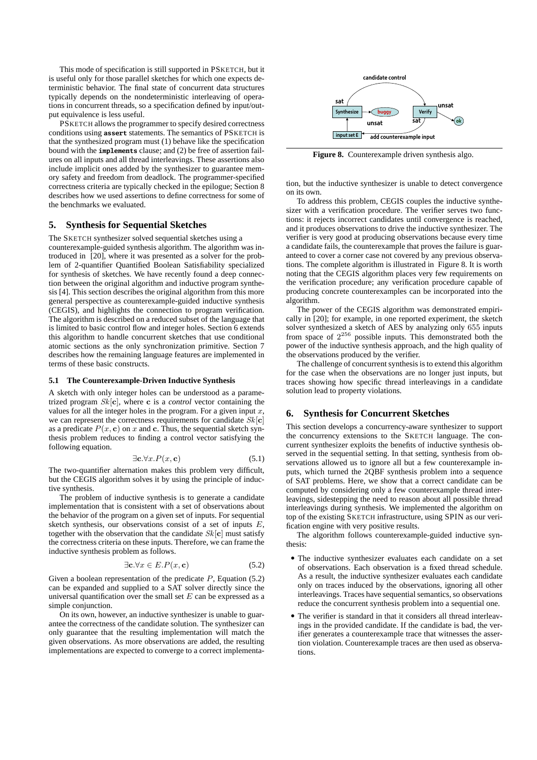This mode of specification is still supported in PSKETCH, but it is useful only for those parallel sketches for which one expects deterministic behavior. The final state of concurrent data structures typically depends on the nondeterministic interleaving of operations in concurrent threads, so a specification defined by input/output equivalence is less useful.

PSKETCH allows the programmer to specify desired correctness conditions using **assert** statements. The semantics of PSKETCH is that the synthesized program must (1) behave like the specification bound with the **implements** clause; and (2) be free of assertion failures on all inputs and all thread interleavings. These assertions also include implicit ones added by the synthesizer to guarantee memory safety and freedom from deadlock. The programmer-specified correctness criteria are typically checked in the epilogue; Section 8 describes how we used assertions to define correctness for some of the benchmarks we evaluated.

## **5. Synthesis for Sequential Sketches**

The SKETCH synthesizer solved sequential sketches using a counterexample-guided synthesis algorithm. The algorithm was introduced in [20], where it was presented as a solver for the problem of 2-quantifier Quantified Boolean Satisfiability specialized for synthesis of sketches. We have recently found a deep connection between the original algorithm and inductive program synthesis [4]. This section describes the original algorithm from this more general perspective as counterexample-guided inductive synthesis (CEGIS), and highlights the connection to program verification. The algorithm is described on a reduced subset of the language that is limited to basic control flow and integer holes. Section 6 extends this algorithm to handle concurrent sketches that use conditional atomic sections as the only synchronization primitive. Section 7 describes how the remaining language features are implemented in terms of these basic constructs.

## **5.1 The Counterexample-Driven Inductive Synthesis**

A sketch with only integer holes can be understood as a parametrized program Sk[c], where c is a *control* vector containing the values for all the integer holes in the program. For a given input  $x$ , we can represent the correctness requirements for candidate  $Sk[c]$ as a predicate  $P(x, c)$  on x and c. Thus, the sequential sketch synthesis problem reduces to finding a control vector satisfying the following equation.

$$
\exists \mathbf{c}.\forall x. P(x, \mathbf{c}) \tag{5.1}
$$

The two-quantifier alternation makes this problem very difficult, but the CEGIS algorithm solves it by using the principle of inductive synthesis.

The problem of inductive synthesis is to generate a candidate implementation that is consistent with a set of observations about the behavior of the program on a given set of inputs. For sequential sketch synthesis, our observations consist of a set of inputs  $E$ , together with the observation that the candidate  $Sk[\mathbf{c}]$  must satisfy the correctness criteria on these inputs. Therefore, we can frame the inductive synthesis problem as follows.

$$
\exists \mathbf{c}.\forall x \in E.P(x, \mathbf{c})\tag{5.2}
$$

Given a boolean representation of the predicate  $P$ , Equation (5.2) can be expanded and supplied to a SAT solver directly since the universal quantification over the small set  $E$  can be expressed as a simple conjunction.

On its own, however, an inductive synthesizer is unable to guarantee the correctness of the candidate solution. The synthesizer can only guarantee that the resulting implementation will match the given observations. As more observations are added, the resulting implementations are expected to converge to a correct implementa-



**Figure 8.** Counterexample driven synthesis algo.

tion, but the inductive synthesizer is unable to detect convergence on its own.

To address this problem, CEGIS couples the inductive synthesizer with a verification procedure. The verifier serves two functions: it rejects incorrect candidates until convergence is reached, and it produces observations to drive the inductive synthesizer. The verifier is very good at producing observations because every time a candidate fails, the counterexample that proves the failure is guaranteed to cover a corner case not covered by any previous observations. The complete algorithm is illustrated in Figure 8. It is worth noting that the CEGIS algorithm places very few requirements on the verification procedure; any verification procedure capable of producing concrete counterexamples can be incorporated into the algorithm.

The power of the CEGIS algorithm was demonstrated empirically in [20]; for example, in one reported experiment, the sketch solver synthesized a sketch of AES by analyzing only 655 inputs from space of  $2^{256}$  possible inputs. This demonstrated both the power of the inductive synthesis approach, and the high quality of the observations produced by the verifier.

The challenge of concurrent synthesis is to extend this algorithm for the case when the observations are no longer just inputs, but traces showing how specific thread interleavings in a candidate solution lead to property violations.

# **6. Synthesis for Concurrent Sketches**

This section develops a concurrency-aware synthesizer to support the concurrency extensions to the SKETCH language. The concurrent synthesizer exploits the benefits of inductive synthesis observed in the sequential setting. In that setting, synthesis from observations allowed us to ignore all but a few counterexample inputs, which turned the 2QBF synthesis problem into a sequence of SAT problems. Here, we show that a correct candidate can be computed by considering only a few counterexample thread interleavings, sidestepping the need to reason about all possible thread interleavings during synthesis. We implemented the algorithm on top of the existing SKETCH infrastructure, using SPIN as our verification engine with very positive results.

The algorithm follows counterexample-guided inductive synthesis:

- The inductive synthesizer evaluates each candidate on a set of observations. Each observation is a fixed thread schedule. As a result, the inductive synthesizer evaluates each candidate only on traces induced by the observations, ignoring all other interleavings. Traces have sequential semantics, so observations reduce the concurrent synthesis problem into a sequential one.
- The verifier is standard in that it considers all thread interleavings in the provided candidate. If the candidate is bad, the verifier generates a counterexample trace that witnesses the assertion violation. Counterexample traces are then used as observations.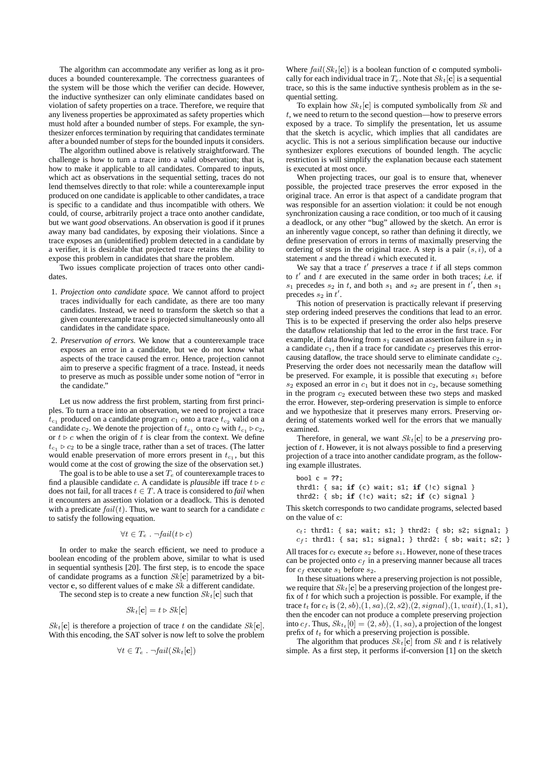The algorithm can accommodate any verifier as long as it produces a bounded counterexample. The correctness guarantees of the system will be those which the verifier can decide. However, the inductive synthesizer can only eliminate candidates based on violation of safety properties on a trace. Therefore, we require that any liveness properties be approximated as safety properties which must hold after a bounded number of steps. For example, the synthesizer enforces termination by requiring that candidates terminate after a bounded number of steps for the bounded inputs it considers.

The algorithm outlined above is relatively straightforward. The challenge is how to turn a trace into a valid observation; that is, how to make it applicable to all candidates. Compared to inputs, which act as observations in the sequential setting, traces do not lend themselves directly to that role: while a counterexample input produced on one candidate is applicable to other candidates, a trace is specific to a candidate and thus incompatible with others. We could, of course, arbitrarily project a trace onto another candidate, but we want *good* observations. An observation is good if it prunes away many bad candidates, by exposing their violations. Since a trace exposes an (unidentified) problem detected in a candidate by a verifier, it is desirable that projected trace retains the ability to expose this problem in candidates that share the problem.

Two issues complicate projection of traces onto other candidates.

- 1. *Projection onto candidate space.* We cannot afford to project traces individually for each candidate, as there are too many candidates. Instead, we need to transform the sketch so that a given counterexample trace is projected simultaneously onto all candidates in the candidate space.
- 2. *Preservation of errors.* We know that a counterexample trace exposes an error in a candidate, but we do not know what aspects of the trace caused the error. Hence, projection cannot aim to preserve a specific fragment of a trace. Instead, it needs to preserve as much as possible under some notion of "error in the candidate.'

Let us now address the first problem, starting from first principles. To turn a trace into an observation, we need to project a trace  $t_{c_1}$  produced on a candidate program  $c_1$  onto a trace  $t_{c_2}$  valid on a candidate  $c_2$ . We denote the projection of  $t_{c_1}$  onto  $c_2$  with  $t_{c_1} \triangleright c_2$ , or  $t \triangleright c$  when the origin of t is clear from the context. We define  $t_{c_1} \triangleright c_2$  to be a single trace, rather than a set of traces. (The latter would enable preservation of more errors present in  $t_{c_1}$ , but this would come at the cost of growing the size of the observation set.)

The goal is to be able to use a set  $T_e$  of counterexample traces to find a plausible candidate *c*. A candidate is *plausible* iff trace  $t \triangleright c$ does not fail, for all traces  $t \in T$ . A trace is considered to *fail* when it encounters an assertion violation or a deadlock. This is denoted with a predicate  $fail(t)$ . Thus, we want to search for a candidate c to satisfy the following equation.

$$
\forall t \in T_e . \ \neg fail(t \triangleright c)
$$

In order to make the search efficient, we need to produce a boolean encoding of the problem above, similar to what is used in sequential synthesis [20]. The first step, is to encode the space of candidate programs as a function  $Sk[c]$  parametrized by a bitvector c, so different values of c make Sk a different candidate.

The second step is to create a new function  $Sk_t[c]$  such that

$$
Sk_t[\mathbf{c}] = t \triangleright Sk[\mathbf{c}]
$$

 $Sk_t[\mathbf{c}]$  is therefore a projection of trace t on the candidate  $Sk[\mathbf{c}]$ . With this encoding, the SAT solver is now left to solve the problem

$$
\forall t \in T_e \ . \ \neg fail(Sk_t[\mathbf{c}])
$$

Where  $fail(Sk_t[c])$  is a boolean function of c computed symbolically for each individual trace in  $T_e$ . Note that  $Sk_t[c]$  is a sequential trace, so this is the same inductive synthesis problem as in the sequential setting.

To explain how  $Sk_t[c]$  is computed symbolically from Sk and t, we need to return to the second question—how to preserve errors exposed by a trace. To simplify the presentation, let us assume that the sketch is acyclic, which implies that all candidates are acyclic. This is not a serious simplification because our inductive synthesizer explores executions of bounded length. The acyclic restriction is will simplify the explanation because each statement is executed at most once.

When projecting traces, our goal is to ensure that, whenever possible, the projected trace preserves the error exposed in the original trace. An error is that aspect of a candidate program that was responsible for an assertion violation: it could be not enough synchronization causing a race condition, or too much of it causing a deadlock, or any other "bug" allowed by the sketch. An error is an inherently vague concept, so rather than defining it directly, we define preservation of errors in terms of maximally preserving the ordering of steps in the original trace. A step is a pair  $(s, i)$ , of a statement  $s$  and the thread  $i$  which executed it.

We say that a trace  $t'$  preserves a trace  $t$  if all steps common to  $t'$  and  $t$  are executed in the same order in both traces; *i.e.* if  $s_1$  precedes  $s_2$  in t, and both  $s_1$  and  $s_2$  are present in t', then  $s_1$ precedes  $s_2$  in  $t'$ .

This notion of preservation is practically relevant if preserving step ordering indeed preserves the conditions that lead to an error. This is to be expected if preserving the order also helps preserve the dataflow relationship that led to the error in the first trace. For example, if data flowing from  $s_1$  caused an assertion failure in  $s_2$  in a candidate  $c_1$ , then if a trace for candidate  $c_2$  preserves this errorcausing dataflow, the trace should serve to eliminate candidate  $c_2$ . Preserving the order does not necessarily mean the dataflow will be preserved. For example, it is possible that executing  $s_1$  before  $s_2$  exposed an error in  $c_1$  but it does not in  $c_2$ , because something in the program  $c_2$  executed between these two steps and masked the error. However, step-ordering preservation is simple to enforce and we hypothesize that it preserves many errors. Preserving ordering of statements worked well for the errors that we manually examined.

Therefore, in general, we want  $Sk_t[c]$  to be a *preserving* projection of  $t$ . However, it is not always possible to find a preserving projection of a trace into another candidate program, as the following example illustrates.

```
bool c = ??;
thrd1: { sa; if (c) wait; s1; if (!c) signal }
thrd2: { sb; if (!c) wait; s2; if (c) signal }
```
This sketch corresponds to two candidate programs, selected based on the value of c:

```
c_t: thrd1: { sa; wait; s1; } thrd2: { sb; s2; signal; }
c_f: thrd1: { sa; s1; signal; } thrd2: { sb; wait; s2; }
```
All traces for  $c_t$  execute  $s_2$  before  $s_1$ . However, none of these traces can be projected onto  $c_f$  in a preserving manner because all traces for  $c_f$  execute  $s_1$  before  $s_2$ .

In these situations where a preserving projection is not possible, we require that  $Sk_t[c]$  be a preserving projection of the longest prefix of  $t$  for which such a projection is possible. For example, if the trace  $t_t$  for  $c_t$  is  $(2, sb), (1, sa), (2, s2), (2, signal), (1, wait), (1, s1),$ then the encoder can not produce a complete preserving projection into  $c_f$ . Thus,  $Sk_{t_t}[0] = (2, sb), (1, sa)$ , a projection of the longest prefix of  $t_t$  for which a preserving projection is possible.

The algorithm that produces  $Sk_t[c]$  from Sk and t is relatively simple. As a first step, it performs if-conversion [1] on the sketch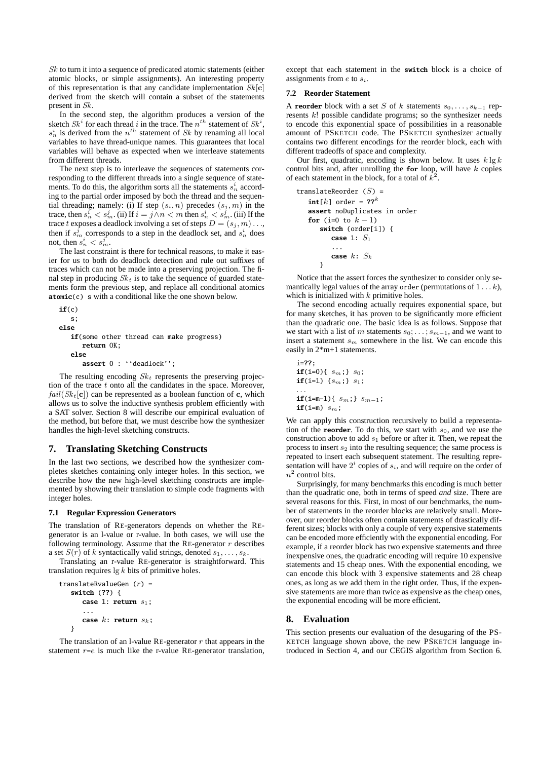Sk to turn it into a sequence of predicated atomic statements (either atomic blocks, or simple assignments). An interesting property of this representation is that any candidate implementation  $Sk[c]$ derived from the sketch will contain a subset of the statements present in Sk.

In the second step, the algorithm produces a version of the sketch  $S_k^i$  for each thread i in the trace. The  $n^{th}$  statement of  $S_k^i$ ,  $s_n^i$  is derived from the  $n^{th}$  statement of Sk by renaming all local variables to have thread-unique names. This guarantees that local variables will behave as expected when we interleave statements from different threads.

The next step is to interleave the sequences of statements corresponding to the different threads into a single sequence of statements. To do this, the algorithm sorts all the statements  $s_n^i$  according to the partial order imposed by both the thread and the sequential threading; namely: (i) If step  $(s_i, n)$  precedes  $(s_i, m)$  in the trace, then  $s_n^i < s_m^j$ . (ii) If  $i = j \wedge n < m$  then  $s_n^i < s_m^j$ . (iii) If the trace t exposes a deadlock involving a set of steps  $D = (s_j, m) \dots$ then if  $s_m^j$  corresponds to a step in the deadlock set, and  $s_n^i$  does not, then  $s_n^i < s_m^j$ .

The last constraint is there for technical reasons, to make it easier for us to both do deadlock detection and rule out suffixes of traces which can not be made into a preserving projection. The final step in producing  $Sk_t$  is to take the sequence of guarded statements form the previous step, and replace all conditional atomics **atomic**(c) s with a conditional like the one shown below.

```
if(c)
   s;
else
   if(some other thread can make progress)
      return OK;
   else
      assert 0 : ''deadlock'';
```
The resulting encoding  $Sk_t$  represents the preserving projection of the trace  $t$  onto all the candidates in the space. Moreover,  $fail(Sk_t[c])$  can be represented as a boolean function of c, which allows us to solve the inductive synthesis problem efficiently with a SAT solver. Section 8 will describe our empirical evaluation of the method, but before that, we must describe how the synthesizer handles the high-level sketching constructs.

## **7. Translating Sketching Constructs**

In the last two sections, we described how the synthesizer completes sketches containing only integer holes. In this section, we describe how the new high-level sketching constructs are implemented by showing their translation to simple code fragments with integer holes.

#### **7.1 Regular Expression Generators**

The translation of RE-generators depends on whether the REgenerator is an l-value or r-value. In both cases, we will use the following terminology. Assume that the RE-generator  $r$  describes a set  $S(r)$  of k syntactically valid strings, denoted  $s_1, \ldots, s_k$ .

Translating an r-value RE-generator is straightforward. This translation requires  $\lg k$  bits of primitive holes.

```
translateRvalueGen (r) =
  switch (??) {
      case 1: return s1;
      ...
      case k: return s_k;
  }
```
The translation of an l-value RE-generator  $r$  that appears in the statement  $r=e$  is much like the r-value RE-generator translation, except that each statement in the **switch** block is a choice of assignments from  $e$  to  $s_i$ .

## **7.2 Reorder Statement**

A **reorder** block with a set S of k statements  $s_0, \ldots, s_{k-1}$  represents k! possible candidate programs; so the synthesizer needs to encode this exponential space of possibilities in a reasonable amount of PSKETCH code. The PSKETCH synthesizer actually contains two different encodings for the reorder block, each with different tradeoffs of space and complexity.

Our first, quadratic, encoding is shown below. It uses  $k \lg k$ control bits and, after unrolling the **for** loop, will have k copies of each statement in the block, for a total of  $k^2$ .

```
translateReorder (S) =
  int[k] order = ??^kassert noDuplicates in order
   for (i=0 to k - 1)
      switch (order[i]) {
         case 1: S1
         ...
         case k: S_k}
```
Notice that the assert forces the synthesizer to consider only semantically legal values of the array order (permutations of  $1 \dots k$ ), which is initialized with  $k$  primitive holes.

The second encoding actually requires exponential space, but for many sketches, it has proven to be significantly more efficient than the quadratic one. The basic idea is as follows. Suppose that we start with a list of m statements  $s_0$ ; . . . ;  $s_{m-1}$ , and we want to insert a statement  $s_m$  somewhere in the list. We can encode this easily in 2\*m+1 statements.

i=??;  
\n
$$
\text{if}(i=0) \{ s_m; \} s_0; \quad \text{if}(i=1) \{ s_m; \} s_1; \quad \dots \quad \text{if}(i=m-1) \{ s_m; \} s_{m-1}; \quad \text{if}(i=m) s_m; \quad \dots \quad \text{if}(i=m) s_m;
$$

We can apply this construction recursively to build a representation of the **reorder**. To do this, we start with  $s<sub>0</sub>$ , and we use the construction above to add  $s_1$  before or after it. Then, we repeat the process to insert  $s_2$  into the resulting sequence; the same process is repeated to insert each subsequent statement. The resulting representation will have  $2^i$  copies of  $s_i$ , and will require on the order of  $n^2$  control bits.

Surprisingly, for many benchmarks this encoding is much better than the quadratic one, both in terms of speed *and* size. There are several reasons for this. First, in most of our benchmarks, the number of statements in the reorder blocks are relatively small. Moreover, our reorder blocks often contain statements of drastically different sizes; blocks with only a couple of very expensive statements can be encoded more efficiently with the exponential encoding. For example, if a reorder block has two expensive statements and three inexpensive ones, the quadratic encoding will require 10 expensive statements and 15 cheap ones. With the exponential encoding, we can encode this block with 3 expensive statements and 28 cheap ones, as long as we add them in the right order. Thus, if the expensive statements are more than twice as expensive as the cheap ones, the exponential encoding will be more efficient.

## **8. Evaluation**

This section presents our evaluation of the desugaring of the PS-KETCH language shown above, the new PSKETCH language introduced in Section 4, and our CEGIS algorithm from Section 6.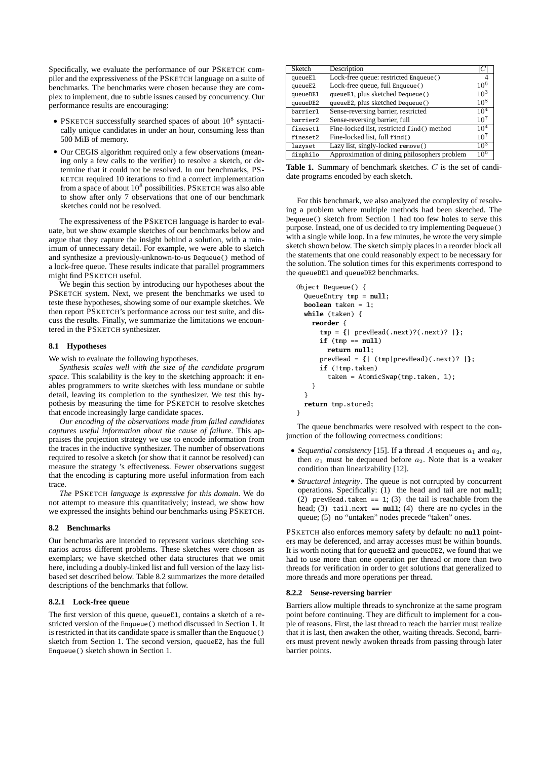Specifically, we evaluate the performance of our PSKETCH compiler and the expressiveness of the PSKETCH language on a suite of benchmarks. The benchmarks were chosen because they are complex to implement, due to subtle issues caused by concurrency. Our performance results are encouraging:

- PSKETCH successfully searched spaces of about  $10^8$  syntactically unique candidates in under an hour, consuming less than 500 MiB of memory.
- Our CEGIS algorithm required only a few observations (meaning only a few calls to the verifier) to resolve a sketch, or determine that it could not be resolved. In our benchmarks, PS-KETCH required 10 iterations to find a correct implementation from a space of about  $10^8$  possibilities. PSKETCH was also able to show after only 7 observations that one of our benchmark sketches could not be resolved.

The expressiveness of the PSKETCH language is harder to evaluate, but we show example sketches of our benchmarks below and argue that they capture the insight behind a solution, with a minimum of unnecessary detail. For example, we were able to sketch and synthesize a previously-unknown-to-us Dequeue() method of a lock-free queue. These results indicate that parallel programmers might find PSKETCH useful.

We begin this section by introducing our hypotheses about the PSKETCH system. Next, we present the benchmarks we used to teste these hypotheses, showing some of our example sketches. We then report PSKETCH's performance across our test suite, and discuss the results. Finally, we summarize the limitations we encountered in the PSKETCH synthesizer.

## **8.1 Hypotheses**

We wish to evaluate the following hypotheses.

*Synthesis scales well with the size of the candidate program space*. This scalability is the key to the sketching approach: it enables programmers to write sketches with less mundane or subtle detail, leaving its completion to the synthesizer. We test this hypothesis by measuring the time for PSKETCH to resolve sketches that encode increasingly large candidate spaces.

*Our encoding of the observations made from failed candidates captures useful information about the cause of failure*. This appraises the projection strategy we use to encode information from the traces in the inductive synthesizer. The number of observations required to resolve a sketch (or show that it cannot be resolved) can measure the strategy 's effectiveness. Fewer observations suggest that the encoding is capturing more useful information from each trace.

*The* PSKETCH *language is expressive for this domain*. We do not attempt to measure this quantitatively; instead, we show how we expressed the insights behind our benchmarks using PSKETCH.

#### **8.2 Benchmarks**

Our benchmarks are intended to represent various sketching scenarios across different problems. These sketches were chosen as exemplars; we have sketched other data structures that we omit here, including a doubly-linked list and full version of the lazy listbased set described below. Table 8.2 summarizes the more detailed descriptions of the benchmarks that follow.

## **8.2.1 Lock-free queue**

The first version of this queue, queueE1, contains a sketch of a restricted version of the Enqueue() method discussed in Section 1. It is restricted in that its candidate space is smaller than the Enqueue() sketch from Section 1. The second version, queueE2, has the full Enqueue() sketch shown in Section 1.

| Sketch   | Description                                  |                 |
|----------|----------------------------------------------|-----------------|
| queueE1  | Lock-free queue: restricted Enqueue()        |                 |
| queueE2  | Lock-free queue, full Enqueue()              | $10^{6}$        |
| queueDE1 | queueE1, plus sketched Dequeue()             | $10^{3}$        |
| queueDE2 | queueE2, plus sketched Dequeue()             | $10^{8}$        |
| barrier1 | Sense-reversing barrier, restricted          | 10 <sup>4</sup> |
| barrier2 | Sense-reversing barrier, full                | $10^{7}$        |
| fineset1 | Fine-locked list, restricted find() method   | 10 <sup>4</sup> |
| fineset2 | Fine-locked list, full find()                | $10^{7}$        |
| lazyset  | Lazy list, singly-locked remove()            | $10^3$          |
| dinphilo | Approximation of dining philosophers problem | $10^{6}$        |

**Table 1.** Summary of benchmark sketches. C is the set of candidate programs encoded by each sketch.

For this benchmark, we also analyzed the complexity of resolving a problem where multiple methods had been sketched. The Dequeue() sketch from Section 1 had too few holes to serve this purpose. Instead, one of us decided to try implementing Dequeue() with a single while loop. In a few minutes, he wrote the very simple sketch shown below. The sketch simply places in a reorder block all the statements that one could reasonably expect to be necessary for the solution. The solution times for this experiments correspond to the queueDE1 and queueDE2 benchmarks.

```
Object Dequeue() {
  QueueEntry tmp = null;
  boolean taken = 1;
  while (taken) {
    reorder {
      tmp = {| prevHead(.next)?(.next)? |};
      if (tmp == null)
        return null;
      prevHead = {| (tmp|prevHead)(.next)? |};
      if (!tmp.taken)
        taken = AtomicSwap(tmp.taken, 1);
    }
  }
 return tmp.stored;
}
```
The queue benchmarks were resolved with respect to the conjunction of the following correctness conditions:

- *Sequential consistency* [15]. If a thread A enqueues  $a_1$  and  $a_2$ , then  $a_1$  must be dequeued before  $a_2$ . Note that is a weaker condition than linearizability [12].
- *Structural integrity*. The queue is not corrupted by concurrent operations. Specifically: (1) the head and tail are not **null**;  $(2)$  prevHead.taken == 1; (3) the tail is reachable from the head; (3) tail.next ==  $null$ ; (4) there are no cycles in the queue; (5) no "untaken" nodes precede "taken" ones.

PSKETCH also enforces memory safety by default: no **null** pointers may be deferenced, and array accesses must be within bounds. It is worth noting that for queueE2 and queueDE2, we found that we had to use more than one operation per thread or more than two threads for verification in order to get solutions that generalized to more threads and more operations per thread.

## **8.2.2 Sense-reversing barrier**

Barriers allow multiple threads to synchronize at the same program point before continuing. They are difficult to implement for a couple of reasons. First, the last thread to reach the barrier must realize that it is last, then awaken the other, waiting threads. Second, barriers must prevent newly awoken threads from passing through later barrier points.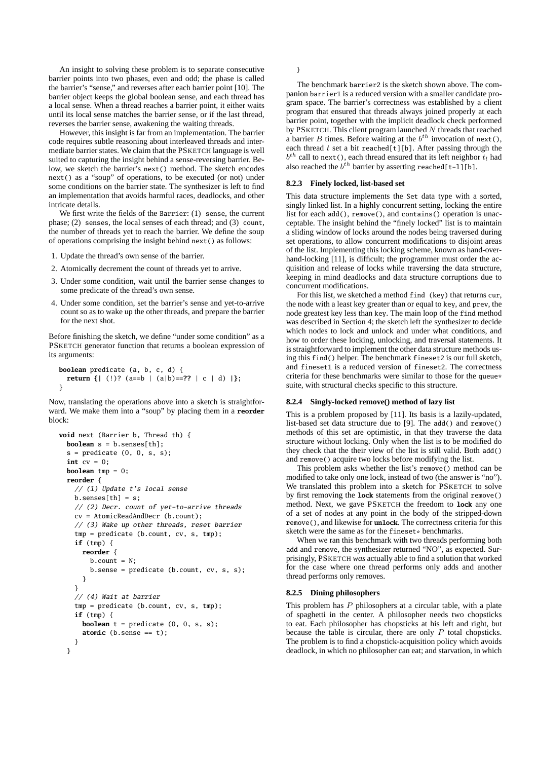An insight to solving these problem is to separate consecutive barrier points into two phases, even and odd; the phase is called the barrier's "sense," and reverses after each barrier point [10]. The barrier object keeps the global boolean sense, and each thread has a local sense. When a thread reaches a barrier point, it either waits until its local sense matches the barrier sense, or if the last thread, reverses the barrier sense, awakening the waiting threads.

However, this insight is far from an implementation. The barrier code requires subtle reasoning about interleaved threads and intermediate barrier states. We claim that the PSKETCH language is well suited to capturing the insight behind a sense-reversing barrier. Below, we sketch the barrier's next() method. The sketch encodes next() as a "soup" of operations, to be executed (or not) under some conditions on the barrier state. The synthesizer is left to find an implementation that avoids harmful races, deadlocks, and other intricate details.

We first write the fields of the Barrier: (1) sense, the current phase; (2) senses, the local senses of each thread; and (3) count, the number of threads yet to reach the barrier. We define the soup of operations comprising the insight behind next() as follows:

- 1. Update the thread's own sense of the barrier.
- 2. Atomically decrement the count of threads yet to arrive.
- 3. Under some condition, wait until the barrier sense changes to some predicate of the thread's own sense.
- 4. Under some condition, set the barrier's sense and yet-to-arrive count so as to wake up the other threads, and prepare the barrier for the next shot.

Before finishing the sketch, we define "under some condition" as a PSKETCH generator function that returns a boolean expression of its arguments:

```
boolean predicate (a, b, c, d) {
 return {| (!)? (a==b | (a|b)==?? | c | d) |};
}
```
Now, translating the operations above into a sketch is straightforward. We make them into a "soup" by placing them in a **reorder** block:

```
void next (Barrier b, Thread th) {
 boolean s = b.senses[th];
 s = predicate (0, 0, s, s);int cy = 0:
 boolean tmp = 0;
 reorder {
    // (1) Update t's local sense
   b.senses[th] = s;// (2) Decr. count of yet-to-arrive threads
   cv = AtomicReadAndDecr (b.count);
   // (3) Wake up other threads, reset barrier
   tmp = predicate (b.count, cv, s, tmp);
   if (tmp) {
     reorder {
        h count = N;
        b.sense = predicate (b.count, cv, s, s);
     }
   }
    // (4) Wait at barrier
   tmp = predicate (b.count, cv, s, tmp);
   if (tmp) {
      boolean t = predicate (0, 0, s, s);
      atomic (b.sense == t);
   }
 }
```
}

The benchmark barrier2 is the sketch shown above. The companion barrier1 is a reduced version with a smaller candidate program space. The barrier's correctness was established by a client program that ensured that threads always joined properly at each barrier point, together with the implicit deadlock check performed by PSKETCH. This client program launched  $N$  threads that reached a barrier B times. Before waiting at the  $b^{th}$  invocation of next(), each thread  $t$  set a bit reached[t][b]. After passing through the  $b^{th}$  call to next(), each thread ensured that its left neighbor  $t_l$  had also reached the  $b^{th}$  barrier by asserting reached[t-l][b].

#### **8.2.3 Finely locked, list-based set**

This data structure implements the Set data type with a sorted, singly linked list. In a highly concurrent setting, locking the entire list for each add(), remove(), and contains() operation is unacceptable. The insight behind the "finely locked" list is to maintain a sliding window of locks around the nodes being traversed during set operations, to allow concurrent modifications to disjoint areas of the list. Implementing this locking scheme, known as hand-overhand-locking [11], is difficult; the programmer must order the acquisition and release of locks while traversing the data structure, keeping in mind deadlocks and data structure corruptions due to concurrent modifications.

For this list, we sketched a method find (key) that returns cur, the node with a least key greater than or equal to key, and prev, the node greatest key less than key. The main loop of the find method was described in Section 4; the sketch left the synthesizer to decide which nodes to lock and unlock and under what conditions, and how to order these locking, unlocking, and traversal statements. It is straightforward to implement the other data structure methods using this find() helper. The benchmark fineset2 is our full sketch, and fineset1 is a reduced version of fineset2. The correctness criteria for these benchmarks were similar to those for the queue\* suite, with structural checks specific to this structure.

#### **8.2.4 Singly-locked remove() method of lazy list**

This is a problem proposed by [11]. Its basis is a lazily-updated, list-based set data structure due to [9]. The add() and remove() methods of this set are optimistic, in that they traverse the data structure without locking. Only when the list is to be modified do they check that the their view of the list is still valid. Both add() and remove() acquire two locks before modifying the list.

This problem asks whether the list's remove() method can be modified to take only one lock, instead of two (the answer is "no"). We translated this problem into a sketch for PSKETCH to solve by first removing the **lock** statements from the original remove() method. Next, we gave PSKETCH the freedom to **lock** any one of a set of nodes at any point in the body of the stripped-down remove(), and likewise for **unlock**. The correctness criteria for this sketch were the same as for the fineset\* benchmarks.

When we ran this benchmark with two threads performing both add and remove, the synthesizer returned "NO", as expected. Surprisingly, PSKETCH *was* actually able to find a solution that worked for the case where one thread performs only adds and another thread performs only removes.

## **8.2.5 Dining philosophers**

This problem has  $P$  philosophers at a circular table, with a plate of spaghetti in the center. A philosopher needs two chopsticks to eat. Each philosopher has chopsticks at his left and right, but because the table is circular, there are only  $P$  total chopsticks. The problem is to find a chopstick-acquisition policy which avoids deadlock, in which no philosopher can eat; and starvation, in which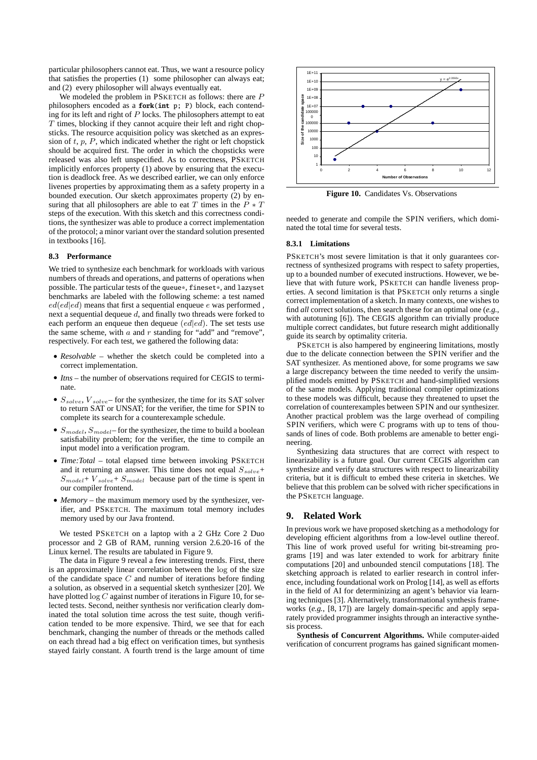particular philosophers cannot eat. Thus, we want a resource policy that satisfies the properties (1) some philosopher can always eat; and (2) every philosopher will always eventually eat.

We modeled the problem in PSKETCH as follows: there are  $P$ philosophers encoded as a **fork**(**int** p; P) block, each contending for its left and right of  $P$  locks. The philosophers attempt to eat  $T$  times, blocking if they cannot acquire their left and right chopsticks. The resource acquisition policy was sketched as an expression of  $t$ ,  $p$ ,  $P$ , which indicated whether the right or left chopstick should be acquired first. The order in which the chopsticks were released was also left unspecified. As to correctness, PSKETCH implicitly enforces property (1) above by ensuring that the execution is deadlock free. As we described earlier, we can only enforce livenes properties by approximating them as a safety property in a bounded execution. Our sketch approximates property (2) by ensuring that all philosophers are able to eat T times in the  $\ddot{P} * T$ steps of the execution. With this sketch and this correctness conditions, the synthesizer was able to produce a correct implementation of the protocol; a minor variant over the standard solution presented in textbooks [16].

## **8.3 Performance**

We tried to synthesize each benchmark for workloads with various numbers of threads and operations, and patterns of operations when possible. The particular tests of the queue\*, fineset\*, and lazyset benchmarks are labeled with the following scheme: a test named  $ed(ed|ed)$  means that first a sequential enqueue e was performed, next a sequential dequeue  $d$ , and finally two threads were forked to each perform an enqueue then dequeue  $(ed|ed)$ . The set tests use the same scheme, with  $a$  and  $r$  standing for "add" and "remove", respectively. For each test, we gathered the following data:

- *Resolvable* whether the sketch could be completed into a correct implementation.
- *Itns* the number of observations required for CEGIS to terminate.
- $S_{solve}$ ,  $V_{solve}$  for the synthesizer, the time for its SAT solver to return SAT or UNSAT; for the verifier, the time for SPIN to complete its search for a counterexample schedule.
- $S_{model}$ ,  $S_{model}$  for the synthesizer, the time to build a boolean satisfiability problem; for the verifier, the time to compile an input model into a verification program.
- *Time:Total* total elapsed time between invoking PSKETCH and it returning an answer. This time does not equal  $S_{solve}$ +  $S_{model}$ +  $V_{solve}$ +  $S_{model}$  because part of the time is spent in our compiler frontend.
- *Memory* the maximum memory used by the synthesizer, verifier, and PSKETCH. The maximum total memory includes memory used by our Java frontend.

We tested PSKETCH on a laptop with a 2 GHz Core 2 Duo processor and 2 GB of RAM, running version 2.6.20-16 of the Linux kernel. The results are tabulated in Figure 9.

The data in Figure 9 reveal a few interesting trends. First, there is an approximately linear correlation between the log of the size of the candidate space  $C$  and number of iterations before finding a solution, as observed in a sequential sketch synthesizer [20]. We have plotted log C against number of iterations in Figure 10, for selected tests. Second, neither synthesis nor verification clearly dominated the total solution time across the test suite, though verification tended to be more expensive. Third, we see that for each benchmark, changing the number of threads or the methods called on each thread had a big effect on verification times, but synthesis stayed fairly constant. A fourth trend is the large amount of time



**Figure 10.** Candidates Vs. Observations

needed to generate and compile the SPIN verifiers, which dominated the total time for several tests.

## **8.3.1 Limitations**

PSKETCH's most severe limitation is that it only guarantees correctness of synthesized programs with respect to safety properties, up to a bounded number of executed instructions. However, we believe that with future work, PSKETCH can handle liveness properties. A second limitation is that PSKETCH only returns a single correct implementation of a sketch. In many contexts, one wishes to find *all* correct solutions, then search these for an optimal one (*e.g.*, with autotuning [6]). The CEGIS algorithm can trivially produce multiple correct candidates, but future research might additionally guide its search by optimality criteria.

PSKETCH is also hampered by engineering limitations, mostly due to the delicate connection between the SPIN verifier and the SAT synthesizer. As mentioned above, for some programs we saw a large discrepancy between the time needed to verify the unsimplified models emitted by PSKETCH and hand-simplified versions of the same models. Applying traditional compiler optimizations to these models was difficult, because they threatened to upset the correlation of counterexamples between SPIN and our synthesizer. Another practical problem was the large overhead of compiling SPIN verifiers, which were C programs with up to tens of thousands of lines of code. Both problems are amenable to better engineering.

Synthesizing data structures that are correct with respect to linearizability is a future goal. Our current CEGIS algorithm can synthesize and verify data structures with respect to linearizability criteria, but it is difficult to embed these criteria in sketches. We believe that this problem can be solved with richer specifications in the PSKETCH language.

## **9. Related Work**

In previous work we have proposed sketching as a methodology for developing efficient algorithms from a low-level outline thereof. This line of work proved useful for writing bit-streaming programs [19] and was later extended to work for arbitrary finite computations [20] and unbounded stencil computations [18]. The sketching approach is related to earlier research in control inference, including foundational work on Prolog [14], as well as efforts in the field of AI for determinizing an agent's behavior via learning techniques [3]. Alternatively, transformational synthesis frameworks (*e.g.*, [8, 17]) are largely domain-specific and apply separately provided programmer insights through an interactive synthesis process.

**Synthesis of Concurrent Algorithms.** While computer-aided verification of concurrent programs has gained significant momen-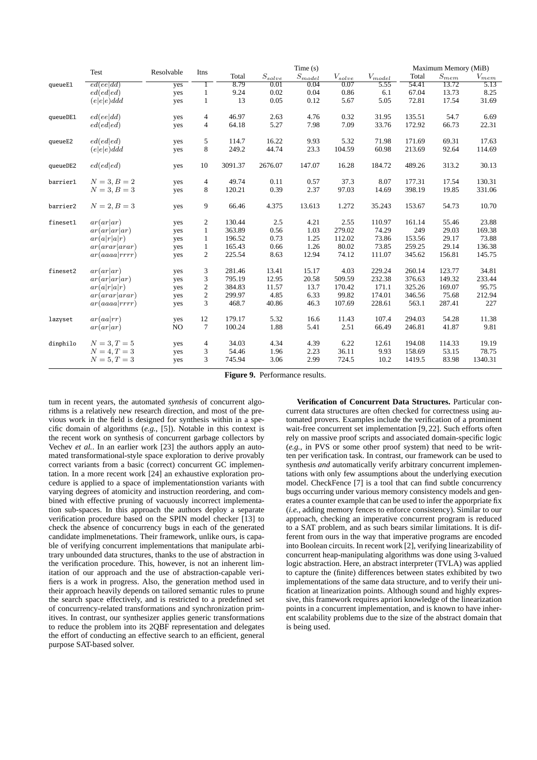|          | Test           | Resolvable     | Itns             | Time(s) |             |                         |             | Maximum Memory (MiB) |        |                     |                                     |
|----------|----------------|----------------|------------------|---------|-------------|-------------------------|-------------|----------------------|--------|---------------------|-------------------------------------|
|          |                |                |                  | Total   | $S_{solve}$ | $S_{\underline{model}}$ | $V_{solve}$ | $V_{model}$          | Total  | $\mathcal{S}_{mem}$ | $V_{m \underline{e} \underline{m}}$ |
| queueE1  | ed(eeldd)      | yes            | $\overline{1}$   | 8.79    | 0.01        | 0.04                    | 0.07        | 5.55                 | 54.41  | 13.72               | 5.13                                |
|          | ed(ed ed)      | yes            | $\mathbf{1}$     | 9.24    | 0.02        | 0.04                    | 0.86        | 6.1                  | 67.04  | 13.73               | 8.25                                |
|          | (e e e)ddd     | yes            | $\mathbf{1}$     | 13      | 0.05        | 0.12                    | 5.67        | 5.05                 | 72.81  | 17.54               | 31.69                               |
| queueDE1 | ed(eeldd)      | yes            | $\overline{4}$   | 46.97   | 2.63        | 4.76                    | 0.32        | 31.95                | 135.51 | 54.7                | 6.69                                |
|          | ed(ed ed)      | yes            | 4                | 64.18   | 5.27        | 7.98                    | 7.09        | 33.76                | 172.92 | 66.73               | 22.31                               |
| queueE2  | ed(ed ed)      | yes            | 5                | 114.7   | 16.22       | 9.93                    | 5.32        | 71.98                | 171.69 | 69.31               | 17.63                               |
|          | $(e e e)$ ddd  | yes            | 8                | 249.2   | 44.74       | 23.3                    | 104.59      | 60.98                | 213.69 | 92.64               | 114.69                              |
| queueDE2 | ed(ed ed)      | yes            | 10               | 3091.37 | 2676.07     | 147.07                  | 16.28       | 184.72               | 489.26 | 313.2               | 30.13                               |
| barrier1 | $N = 3, B = 2$ | yes            | $\overline{4}$   | 49.74   | 0.11        | 0.57                    | 37.3        | 8.07                 | 177.31 | 17.54               | 130.31                              |
|          | $N = 3, B = 3$ | yes            | 8                | 120.21  | 0.39        | 2.37                    | 97.03       | 14.69                | 398.19 | 19.85               | 331.06                              |
| barrier2 | $N = 2, B = 3$ | yes            | 9                | 66.46   | 4.375       | 13.613                  | 1.272       | 35.243               | 153.67 | 54.73               | 10.70                               |
| fineset1 | ar(ar ar)      | yes            | 2                | 130.44  | 2.5         | 4.21                    | 2.55        | 110.97               | 161.14 | 55.46               | 23.88                               |
|          | ar(ar ar ar)   | yes            | $\mathbf{1}$     | 363.89  | 0.56        | 1.03                    | 279.02      | 74.29                | 249    | 29.03               | 169.38                              |
|          | ar(a r a r)    | yes            | $\mathbf{1}$     | 196.52  | 0.73        | 1.25                    | 112.02      | 73.86                | 153.56 | 29.17               | 73.88                               |
|          | ar(arar arar)  | yes            | $\mathbf{1}$     | 165.43  | 0.66        | 1.26                    | 80.02       | 73.85                | 259.25 | 29.14               | 136.38                              |
|          | ar(aaaa rrrr)  | yes            | $\overline{c}$   | 225.54  | 8.63        | 12.94                   | 74.12       | 111.07               | 345.62 | 156.81              | 145.75                              |
| fineset2 | ar(ar ar)      | yes            | 3                | 281.46  | 13.41       | 15.17                   | 4.03        | 229.24               | 260.14 | 123.77              | 34.81                               |
|          | ar(ar ar ar)   | yes            | 3                | 795.19  | 12.95       | 20.58                   | 509.59      | 232.38               | 376.63 | 149.32              | 233.44                              |
|          | ar(a r a r)    | yes            | 2                | 384.83  | 11.57       | 13.7                    | 170.42      | 171.1                | 325.26 | 169.07              | 95.75                               |
|          | ar(arar arar)  | yes            | $\boldsymbol{2}$ | 299.97  | 4.85        | 6.33                    | 99.82       | 174.01               | 346.56 | 75.68               | 212.94                              |
|          | ar(aaaa rrrr)  | yes            | 3                | 468.7   | 40.86       | 46.3                    | 107.69      | 228.61               | 563.1  | 287.41              | 227                                 |
| lazyset  | ar(aa rr)      | yes            | 12               | 179.17  | 5.32        | 16.6                    | 11.43       | 107.4                | 294.03 | 54.28               | 11.38                               |
|          | ar(ar ar)      | N <sub>O</sub> | 7                | 100.24  | 1.88        | 5.41                    | 2.51        | 66.49                | 246.81 | 41.87               | 9.81                                |
| dinphilo | $N = 3, T = 5$ | yes            | 4                | 34.03   | 4.34        | 4.39                    | 6.22        | 12.61                | 194.08 | 114.33              | 19.19                               |
|          | $N = 4, T = 3$ | yes            | 3                | 54.46   | 1.96        | 2.23                    | 36.11       | 9.93                 | 158.69 | 53.15               | 78.75                               |
|          | $N = 5, T = 3$ | yes            | 3                | 745.94  | 3.06        | 2.99                    | 724.5       | 10.2                 | 1419.5 | 83.98               | 1340.31                             |

**Figure 9.** Performance results.

tum in recent years, the automated *synthesis* of concurrent algorithms is a relatively new research direction, and most of the previous work in the field is designed for synthesis within in a specific domain of algorithms (*e.g.*, [5]). Notable in this context is the recent work on synthesis of concurrent garbage collectors by Vechev *et al.*. In an earlier work [23] the authors apply an automated transformational-style space exploration to derive provably correct variants from a basic (correct) concurrent GC implementation. In a more recent work [24] an exhaustive exploration procedure is applied to a space of implementationstion variants with varying degrees of atomicity and instruction reordering, and combined with effective pruning of vacuously incorrect implementation sub-spaces. In this approach the authors deploy a separate verification procedure based on the SPIN model checker [13] to check the absence of concurrency bugs in each of the generated candidate implmenetations. Their framework, unlike ours, is capable of verifying concurrent implementations that manipulate arbitrary unbounded data structures, thanks to the use of abstraction in the verification procedure. This, however, is not an inherent limitation of our approach and the use of abstraction-capable verifiers is a work in progress. Also, the generation method used in their approach heavily depends on tailored semantic rules to prune the search space effectively, and is restricted to a predefined set of concurrency-related transformations and synchronization primitives. In contrast, our synthesizer applies generic transformations to reduce the problem into its 2QBF representation and delegates the effort of conducting an effective search to an efficient, general purpose SAT-based solver.

**Verification of Concurrent Data Structures.** Particular concurrent data structures are often checked for correctness using automated provers. Examples include the verification of a prominent wait-free concurrent set implementation [9, 22]. Such efforts often rely on massive proof scripts and associated domain-specific logic (*e.g.*, in PVS or some other proof system) that need to be written per verification task. In contrast, our framework can be used to synthesis *and* automatically verify arbitrary concurrent implementations with only few assumptions about the underlying execution model. CheckFence [7] is a tool that can find subtle concurrency bugs occurring under various memory consistency models and generates a counter example that can be used to infer the apporpriate fix (*i.e.*, adding memory fences to enforce consistency). Similar to our approach, checking an imperative concurrent program is reduced to a SAT problem, and as such bears similar limitations. It is different from ours in the way that imperative programs are encoded into Boolean circuits. In recent work [2], verifying linearizability of concurrent heap-manipulating algorithms was done using 3-valued logic abstraction. Here, an abstract interpreter (TVLA) was applied to capture the (finite) differences between states exhibited by two implementations of the same data structure, and to verify their unification at linearization points. Although sound and highly expressive, this framework requires apriori knowledge of the linearization points in a concurrent implementation, and is known to have inherent scalability problems due to the size of the abstract domain that is being used.